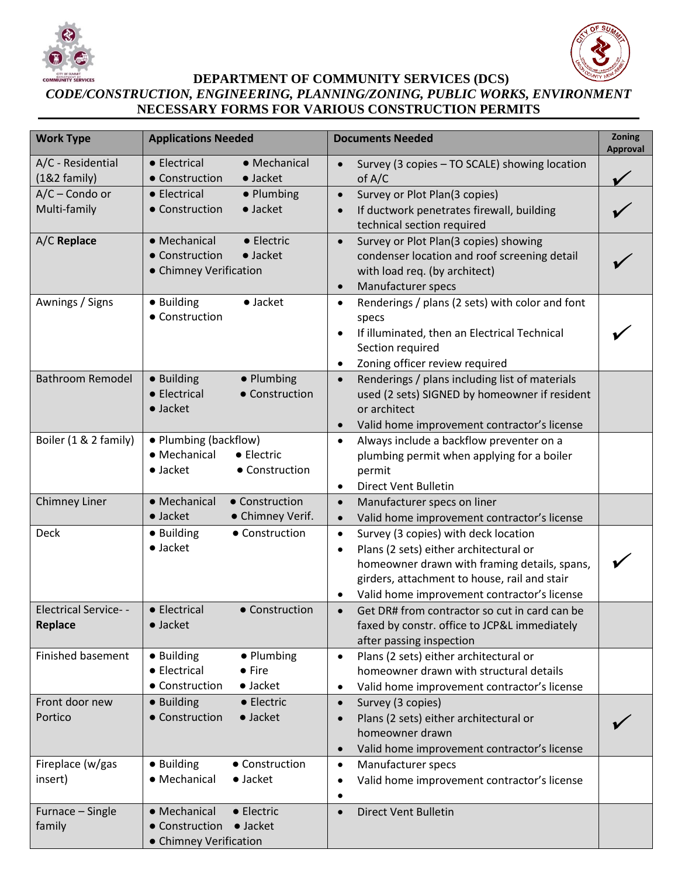



**DEPARTMENT OF COMMUNITY SERVICES (DCS)**

## *CODE/CONSTRUCTION, ENGINEERING, PLANNING/ZONING, PUBLIC WORKS, ENVIRONMENT* **NECESSARY FORMS FOR VARIOUS CONSTRUCTION PERMITS**

| <b>Work Type</b>                       | <b>Applications Needed</b>                                                                        | <b>Documents Needed</b>                                                                                                                                                                                                                                      | Zoning<br><b>Approval</b> |
|----------------------------------------|---------------------------------------------------------------------------------------------------|--------------------------------------------------------------------------------------------------------------------------------------------------------------------------------------------------------------------------------------------------------------|---------------------------|
| A/C - Residential<br>$(182$ family)    | • Electrical<br>• Mechanical<br>• Construction<br>$\bullet$ Jacket                                | Survey (3 copies - TO SCALE) showing location<br>$\bullet$<br>of $A/C$                                                                                                                                                                                       |                           |
| $A/C$ – Condo or<br>Multi-family       | • Electrical<br>• Plumbing<br>• Construction<br>$\bullet$ Jacket                                  | Survey or Plot Plan(3 copies)<br>$\bullet$<br>If ductwork penetrates firewall, building<br>$\bullet$<br>technical section required                                                                                                                           |                           |
| A/C Replace                            | • Mechanical<br>• Electric<br>• Construction<br>$\bullet$ Jacket<br>• Chimney Verification        | Survey or Plot Plan(3 copies) showing<br>$\bullet$<br>condenser location and roof screening detail<br>with load req. (by architect)<br>Manufacturer specs<br>$\bullet$                                                                                       |                           |
| Awnings / Signs                        | $\bullet$ Jacket<br>• Building<br>• Construction                                                  | Renderings / plans (2 sets) with color and font<br>$\bullet$<br>specs<br>If illuminated, then an Electrical Technical<br>$\bullet$<br>Section required<br>Zoning officer review required<br>٠                                                                |                           |
| <b>Bathroom Remodel</b>                | • Building<br>• Plumbing<br>• Electrical<br>• Construction<br>$\bullet$ Jacket                    | Renderings / plans including list of materials<br>$\bullet$<br>used (2 sets) SIGNED by homeowner if resident<br>or architect<br>Valid home improvement contractor's license<br>$\bullet$                                                                     |                           |
| Boiler (1 & 2 family)                  | • Plumbing (backflow)<br>• Mechanical<br>$\bullet$ Electric<br>$\bullet$ Jacket<br>• Construction | Always include a backflow preventer on a<br>$\bullet$<br>plumbing permit when applying for a boiler<br>permit<br><b>Direct Vent Bulletin</b><br>٠                                                                                                            |                           |
| <b>Chimney Liner</b>                   | • Mechanical<br>• Construction<br>· Chimney Verif.<br>$\bullet$ Jacket                            | Manufacturer specs on liner<br>$\bullet$<br>Valid home improvement contractor's license<br>$\bullet$                                                                                                                                                         |                           |
| <b>Deck</b>                            | • Construction<br>• Building<br>$\bullet$ Jacket                                                  | Survey (3 copies) with deck location<br>$\bullet$<br>Plans (2 sets) either architectural or<br>$\bullet$<br>homeowner drawn with framing details, spans,<br>girders, attachment to house, rail and stair<br>Valid home improvement contractor's license<br>٠ |                           |
| <b>Electrical Service--</b><br>Replace | • Construction<br>• Electrical<br>· Jacket                                                        | Get DR# from contractor so cut in card can be<br>$\bullet$<br>faxed by constr. office to JCP&L immediately<br>after passing inspection                                                                                                                       |                           |
| <b>Finished basement</b>               | • Building<br>• Plumbing<br>• Electrical<br>$\bullet$ Fire<br>• Construction<br>$\bullet$ Jacket  | Plans (2 sets) either architectural or<br>$\bullet$<br>homeowner drawn with structural details<br>Valid home improvement contractor's license<br>$\bullet$                                                                                                   |                           |
| Front door new<br>Portico              | • Building<br>• Electric<br>• Construction<br>$\bullet$ Jacket                                    | Survey (3 copies)<br>$\bullet$<br>Plans (2 sets) either architectural or<br>$\bullet$<br>homeowner drawn<br>Valid home improvement contractor's license<br>$\bullet$                                                                                         |                           |
| Fireplace (w/gas<br>insert)            | • Building<br>• Construction<br>• Mechanical<br>$\bullet$ Jacket                                  | Manufacturer specs<br>$\bullet$<br>Valid home improvement contractor's license<br>٠<br>$\bullet$                                                                                                                                                             |                           |
| Furnace - Single<br>family             | · Mechanical<br>• Electric<br>• Construction<br>$\bullet$ Jacket<br>• Chimney Verification        | <b>Direct Vent Bulletin</b><br>$\bullet$                                                                                                                                                                                                                     |                           |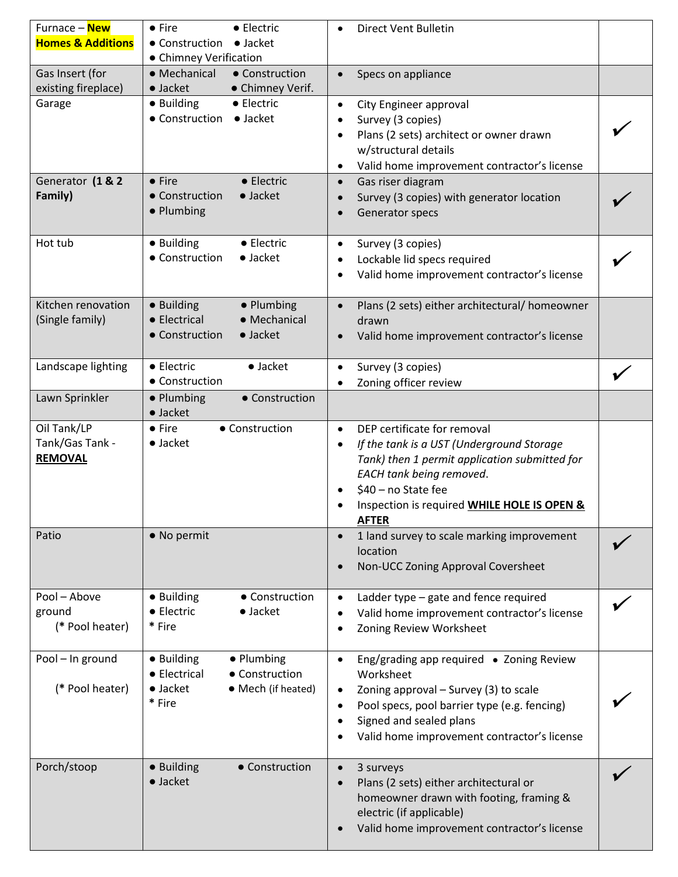| Furnace - New                | • Electric<br>$\bullet$ Fire                             | <b>Direct Vent Bulletin</b>                                                          |  |
|------------------------------|----------------------------------------------------------|--------------------------------------------------------------------------------------|--|
| <b>Homes &amp; Additions</b> | $\bullet$ Jacket<br>• Construction                       |                                                                                      |  |
|                              | • Chimney Verification                                   |                                                                                      |  |
| Gas Insert (for              | • Construction<br>• Mechanical                           | Specs on appliance<br>$\bullet$                                                      |  |
| existing fireplace)          | $\bullet$ Jacket<br>• Chimney Verif.                     |                                                                                      |  |
| Garage                       | · Building<br>• Electric                                 | City Engineer approval<br>$\bullet$                                                  |  |
|                              | • Construction<br>$\bullet$ Jacket                       | Survey (3 copies)                                                                    |  |
|                              |                                                          | Plans (2 sets) architect or owner drawn<br>٠                                         |  |
|                              |                                                          | w/structural details                                                                 |  |
|                              |                                                          | Valid home improvement contractor's license<br>$\bullet$                             |  |
| Generator (1 & 2             | • Electric<br>$\bullet$ Fire                             | Gas riser diagram<br>$\bullet$                                                       |  |
| Family)                      | • Construction<br>$\bullet$ Jacket                       | Survey (3 copies) with generator location<br>$\bullet$                               |  |
|                              | • Plumbing                                               | Generator specs                                                                      |  |
|                              |                                                          |                                                                                      |  |
| Hot tub                      | · Building<br>• Electric                                 | Survey (3 copies)<br>$\bullet$                                                       |  |
|                              | • Construction<br>$\bullet$ Jacket                       | Lockable lid specs required                                                          |  |
|                              |                                                          | ٠                                                                                    |  |
|                              |                                                          | Valid home improvement contractor's license<br>$\bullet$                             |  |
| Kitchen renovation           |                                                          |                                                                                      |  |
|                              | · Building<br>• Plumbing<br>• Mechanical<br>• Electrical | Plans (2 sets) either architectural/ homeowner<br>$\bullet$                          |  |
| (Single family)              |                                                          | drawn                                                                                |  |
|                              | • Construction<br>$\bullet$ Jacket                       | Valid home improvement contractor's license<br>$\bullet$                             |  |
|                              |                                                          |                                                                                      |  |
| Landscape lighting           | • Electric<br>$\bullet$ Jacket                           | Survey (3 copies)<br>$\bullet$                                                       |  |
|                              | • Construction                                           | Zoning officer review                                                                |  |
| Lawn Sprinkler               | • Construction<br>• Plumbing                             |                                                                                      |  |
|                              | $\bullet$ Jacket                                         |                                                                                      |  |
| Oil Tank/LP                  | • Construction<br>$\bullet$ Fire                         | DEP certificate for removal<br>$\bullet$                                             |  |
| Tank/Gas Tank -              | $\bullet$ Jacket                                         | If the tank is a UST (Underground Storage<br>$\bullet$                               |  |
| <b>REMOVAL</b>               |                                                          | Tank) then 1 permit application submitted for                                        |  |
|                              |                                                          | EACH tank being removed.                                                             |  |
|                              |                                                          | \$40 - no State fee<br>٠                                                             |  |
|                              |                                                          | Inspection is required WHILE HOLE IS OPEN &                                          |  |
|                              |                                                          | <b>AFTER</b>                                                                         |  |
| Patio                        | • No permit                                              | 1 land survey to scale marking improvement<br>$\bullet$                              |  |
|                              |                                                          | location                                                                             |  |
|                              |                                                          | Non-UCC Zoning Approval Coversheet<br>$\bullet$                                      |  |
|                              |                                                          |                                                                                      |  |
| Pool - Above                 | • Building<br>• Construction                             | Ladder type - gate and fence required<br>$\bullet$                                   |  |
| ground                       | • Electric<br>$\bullet$ Jacket                           | Valid home improvement contractor's license<br>٠                                     |  |
| (* Pool heater)              | * Fire                                                   | Zoning Review Worksheet<br>٠                                                         |  |
|                              |                                                          |                                                                                      |  |
| Pool - In ground             | • Building<br>• Plumbing                                 | Eng/grading app required • Zoning Review<br>$\bullet$                                |  |
|                              | • Electrical<br>• Construction                           | Worksheet                                                                            |  |
| (* Pool heater)              | $\bullet$ Jacket<br>• Mech (if heated)                   | Zoning approval - Survey (3) to scale<br>$\bullet$                                   |  |
|                              | * Fire                                                   | Pool specs, pool barrier type (e.g. fencing)<br>٠                                    |  |
|                              |                                                          | Signed and sealed plans<br>٠                                                         |  |
|                              |                                                          | Valid home improvement contractor's license                                          |  |
|                              |                                                          |                                                                                      |  |
| Porch/stoop                  | · Building<br>• Construction                             | 3 surveys<br>$\bullet$                                                               |  |
|                              | $\bullet$ Jacket                                         | Plans (2 sets) either architectural or<br>$\bullet$                                  |  |
|                              |                                                          |                                                                                      |  |
|                              |                                                          |                                                                                      |  |
|                              |                                                          | homeowner drawn with footing, framing &                                              |  |
|                              |                                                          | electric (if applicable)<br>Valid home improvement contractor's license<br>$\bullet$ |  |